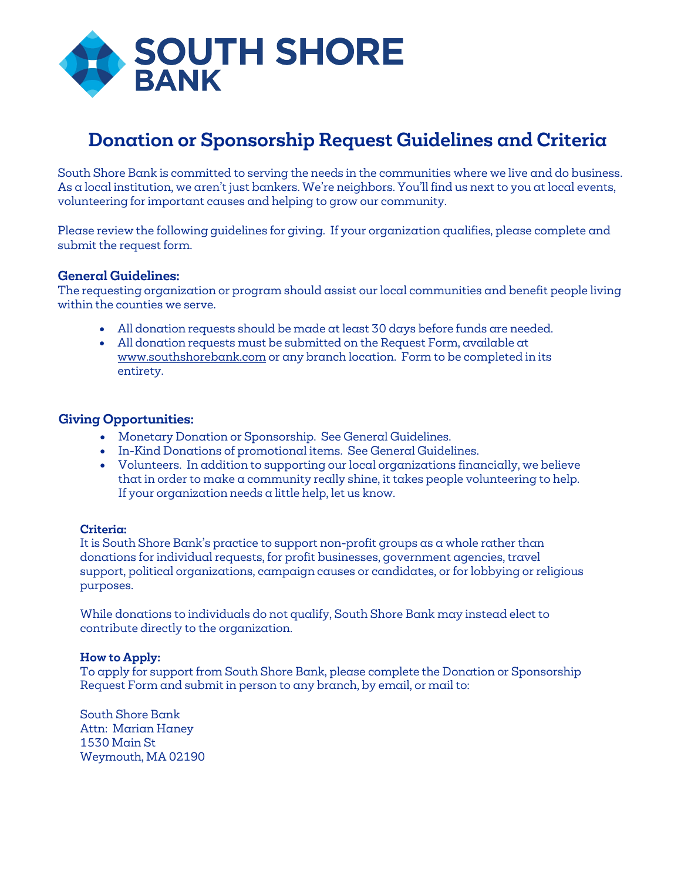

## **Donation or Sponsorship Request Guidelines and Criteria**

South Shore Bank is committed to serving the needs in the communities where we live and do business. As a local institution, we aren't just bankers. We're neighbors. You'll find us next to you at local events, volunteering for important causes and helping to grow our community.

Please review the following guidelines for giving. If your organization qualifies, please complete and submit the request form.

## **General Guidelines:**

The requesting organization or program should assist our local communities and benefit people living within the counties we serve.

- All donation requests should be made at least 30 days before funds are needed.
- All donation requests must be submitted on the Request Form, available at www.southshorebank.com or any branch location. Form to be completed in its entirety.

## **Giving Opportunities:**

- Monetary Donation or Sponsorship. See General Guidelines.
- In-Kind Donations of promotional items. See General Guidelines.
- Volunteers. In addition to supporting our local organizations financially, we believe that in order to make a community really shine, it takes people volunteering to help. If your organization needs a little help, let us know.

## **Criteria:**

It is South Shore Bank's practice to support non-profit groups as a whole rather than donations for individual requests, for profit businesses, government agencies, travel support, political organizations, campaign causes or candidates, or for lobbying or religious purposes.

While donations to individuals do not qualify, South Shore Bank may instead elect to contribute directly to the organization.

## **How to Apply:**

To apply for support from South Shore Bank, please complete the Donation or Sponsorship Request Form and submit in person to any branch, by email, or mail to:

South Shore Bank Attn: Marian Haney 1530 Main St Weymouth, MA 02190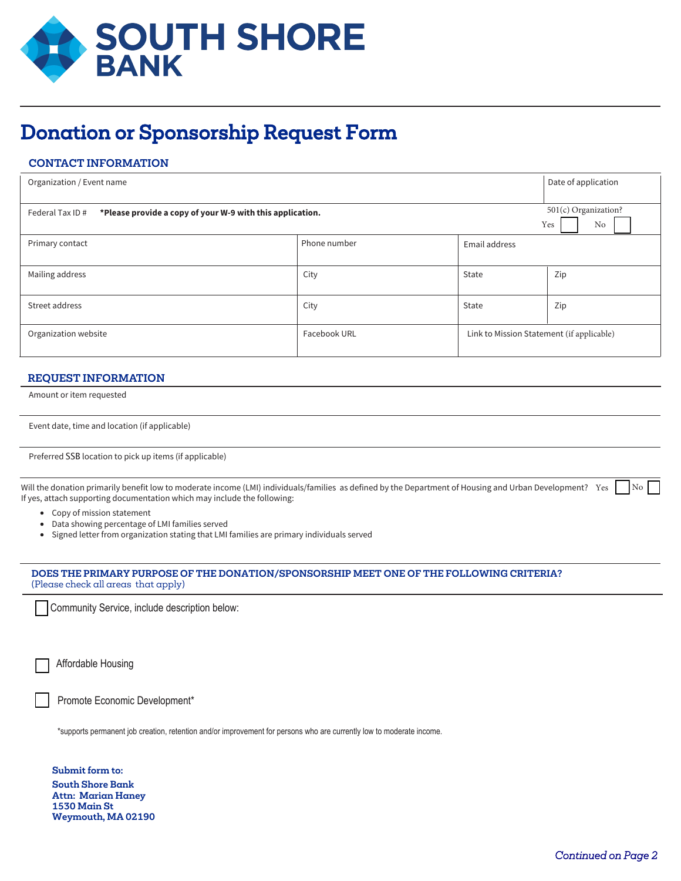

# Donation or Sponsorship Request Form

## **CONTACT INFORMATION**

| Organization / Event name                                                    |              | Date of application                       |                                   |
|------------------------------------------------------------------------------|--------------|-------------------------------------------|-----------------------------------|
| *Please provide a copy of your W-9 with this application.<br>Federal Tax ID# |              |                                           | 501(c) Organization?<br>Yes<br>No |
| Primary contact                                                              | Phone number | Email address                             |                                   |
| Mailing address                                                              | City         | State                                     | Zip                               |
| Street address                                                               | City         | State                                     | Zip                               |
| Organization website                                                         | Facebook URL | Link to Mission Statement (if applicable) |                                   |

#### **REQUEST INFORMATION**

Amount or item requested

| Event date, time and location (if applicable) |  |  |  |  |
|-----------------------------------------------|--|--|--|--|
|-----------------------------------------------|--|--|--|--|

Preferred SSB location to pick up items (if applicable)

Will the donation primarily benefit low to moderate income (LMI) individuals/families as defined by the Department of Housing and Urban Development? Yes in No If yes, attach supporting documentation which may include the following:

- Copy of mission statement
- Data showing percentage of LMI families served
- Signed letter from organization stating that LMI families are primary individuals served

#### **DOES THE PRIMARY PURPOSE OF THE DONATION/SPONSORSHIP MEET ONE OF THE FOLLOWING CRITERIA?**  (Please check all areas that apply)

Community Service, include description below:

Affordable Housing

Promote Economic Development\*

\*supports permanent job creation, retention and/or improvement for persons who are currently low to moderate income.

**Submit form to: South Shore Bank Attn: Marian Haney 1530 Main St Weymouth, MA 02190**